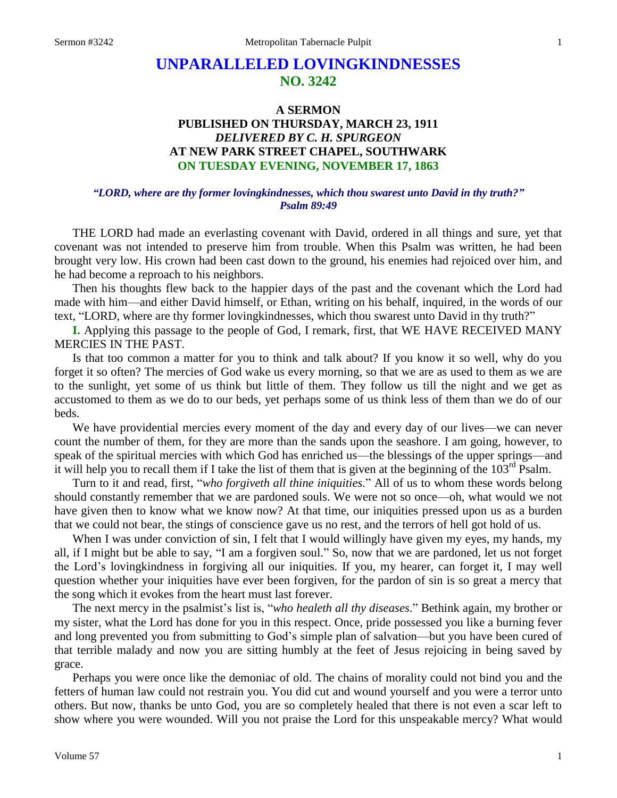# **UNPARALLELED LOVINGKINDNESSES NO. 3242**

## **A SERMON PUBLISHED ON THURSDAY, MARCH 23, 1911** *DELIVERED BY C. H. SPURGEON* **AT NEW PARK STREET CHAPEL, SOUTHWARK ON TUESDAY EVENING, NOVEMBER 17, 1863**

#### *"LORD, where are thy former lovingkindnesses, which thou swarest unto David in thy truth?" Psalm 89:49*

THE LORD had made an everlasting covenant with David, ordered in all things and sure, yet that covenant was not intended to preserve him from trouble. When this Psalm was written, he had been brought very low. His crown had been cast down to the ground, his enemies had rejoiced over him, and he had become a reproach to his neighbors.

Then his thoughts flew back to the happier days of the past and the covenant which the Lord had made with him—and either David himself, or Ethan, writing on his behalf, inquired, in the words of our text, "LORD, where are thy former lovingkindnesses, which thou swarest unto David in thy truth?"

**I.** Applying this passage to the people of God, I remark, first, that WE HAVE RECEIVED MANY MERCIES IN THE PAST.

Is that too common a matter for you to think and talk about? If you know it so well, why do you forget it so often? The mercies of God wake us every morning, so that we are as used to them as we are to the sunlight, yet some of us think but little of them. They follow us till the night and we get as accustomed to them as we do to our beds, yet perhaps some of us think less of them than we do of our beds.

We have providential mercies every moment of the day and every day of our lives—we can never count the number of them, for they are more than the sands upon the seashore. I am going, however, to speak of the spiritual mercies with which God has enriched us—the blessings of the upper springs—and it will help you to recall them if I take the list of them that is given at the beginning of the  $103^{rd}$  Psalm.

Turn to it and read, first, "*who forgiveth all thine iniquities*." All of us to whom these words belong should constantly remember that we are pardoned souls. We were not so once—oh, what would we not have given then to know what we know now? At that time, our iniquities pressed upon us as a burden that we could not bear, the stings of conscience gave us no rest, and the terrors of hell got hold of us.

When I was under conviction of sin, I felt that I would willingly have given my eyes, my hands, my all, if I might but be able to say, "I am a forgiven soul." So, now that we are pardoned, let us not forget the Lord's lovingkindness in forgiving all our iniquities. If you, my hearer, can forget it, I may well question whether your iniquities have ever been forgiven, for the pardon of sin is so great a mercy that the song which it evokes from the heart must last forever.

The next mercy in the psalmist's list is, "*who healeth all thy diseases*." Bethink again, my brother or my sister, what the Lord has done for you in this respect. Once, pride possessed you like a burning fever and long prevented you from submitting to God's simple plan of salvation—but you have been cured of that terrible malady and now you are sitting humbly at the feet of Jesus rejoicing in being saved by grace.

Perhaps you were once like the demoniac of old. The chains of morality could not bind you and the fetters of human law could not restrain you. You did cut and wound yourself and you were a terror unto others. But now, thanks be unto God, you are so completely healed that there is not even a scar left to show where you were wounded. Will you not praise the Lord for this unspeakable mercy? What would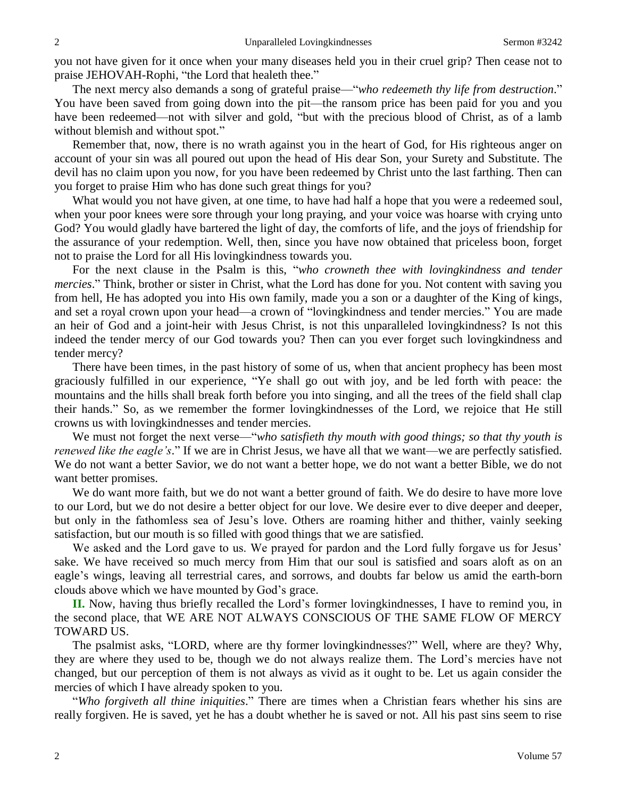you not have given for it once when your many diseases held you in their cruel grip? Then cease not to praise JEHOVAH-Rophi, "the Lord that healeth thee."

The next mercy also demands a song of grateful praise—"*who redeemeth thy life from destruction*." You have been saved from going down into the pit—the ransom price has been paid for you and you have been redeemed—not with silver and gold, "but with the precious blood of Christ, as of a lamb without blemish and without spot."

Remember that, now, there is no wrath against you in the heart of God, for His righteous anger on account of your sin was all poured out upon the head of His dear Son, your Surety and Substitute. The devil has no claim upon you now, for you have been redeemed by Christ unto the last farthing. Then can you forget to praise Him who has done such great things for you?

What would you not have given, at one time, to have had half a hope that you were a redeemed soul, when your poor knees were sore through your long praying, and your voice was hoarse with crying unto God? You would gladly have bartered the light of day, the comforts of life, and the joys of friendship for the assurance of your redemption. Well, then, since you have now obtained that priceless boon, forget not to praise the Lord for all His lovingkindness towards you.

For the next clause in the Psalm is this, "*who crowneth thee with lovingkindness and tender mercies*." Think, brother or sister in Christ, what the Lord has done for you. Not content with saving you from hell, He has adopted you into His own family, made you a son or a daughter of the King of kings, and set a royal crown upon your head—a crown of "lovingkindness and tender mercies." You are made an heir of God and a joint-heir with Jesus Christ, is not this unparalleled lovingkindness? Is not this indeed the tender mercy of our God towards you? Then can you ever forget such lovingkindness and tender mercy?

There have been times, in the past history of some of us, when that ancient prophecy has been most graciously fulfilled in our experience, "Ye shall go out with joy, and be led forth with peace: the mountains and the hills shall break forth before you into singing, and all the trees of the field shall clap their hands." So, as we remember the former lovingkindnesses of the Lord, we rejoice that He still crowns us with lovingkindnesses and tender mercies.

We must not forget the next verse—"*who satisfieth thy mouth with good things; so that thy youth is renewed like the eagle's*." If we are in Christ Jesus, we have all that we want—we are perfectly satisfied. We do not want a better Savior, we do not want a better hope, we do not want a better Bible, we do not want better promises.

We do want more faith, but we do not want a better ground of faith. We do desire to have more love to our Lord, but we do not desire a better object for our love. We desire ever to dive deeper and deeper, but only in the fathomless sea of Jesu's love. Others are roaming hither and thither, vainly seeking satisfaction, but our mouth is so filled with good things that we are satisfied.

We asked and the Lord gave to us. We prayed for pardon and the Lord fully forgave us for Jesus' sake. We have received so much mercy from Him that our soul is satisfied and soars aloft as on an eagle's wings, leaving all terrestrial cares, and sorrows, and doubts far below us amid the earth-born clouds above which we have mounted by God's grace.

**II.** Now, having thus briefly recalled the Lord's former lovingkindnesses, I have to remind you, in the second place, that WE ARE NOT ALWAYS CONSCIOUS OF THE SAME FLOW OF MERCY TOWARD US.

The psalmist asks, "LORD, where are thy former lovingkindnesses?" Well, where are they? Why, they are where they used to be, though we do not always realize them. The Lord's mercies have not changed, but our perception of them is not always as vivid as it ought to be. Let us again consider the mercies of which I have already spoken to you.

"*Who forgiveth all thine iniquities*." There are times when a Christian fears whether his sins are really forgiven. He is saved, yet he has a doubt whether he is saved or not. All his past sins seem to rise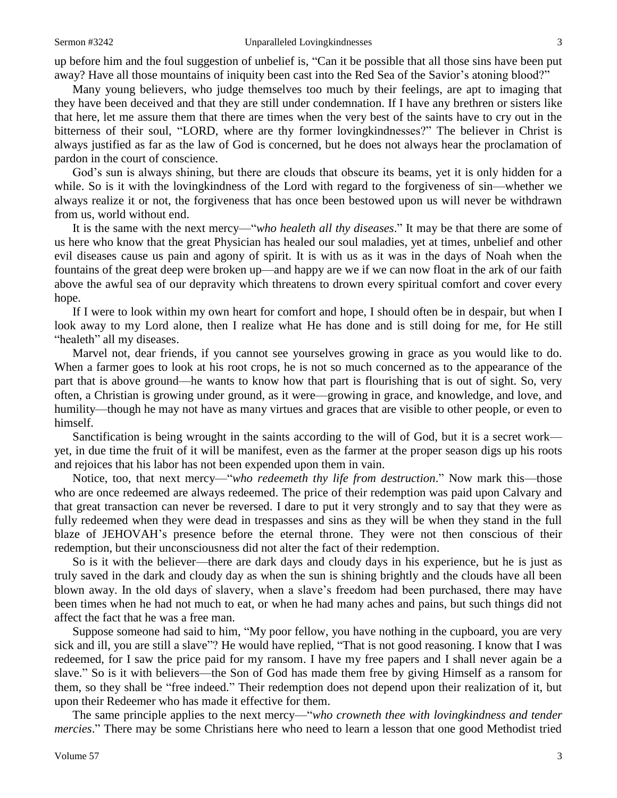up before him and the foul suggestion of unbelief is, "Can it be possible that all those sins have been put away? Have all those mountains of iniquity been cast into the Red Sea of the Savior's atoning blood?"

Many young believers, who judge themselves too much by their feelings, are apt to imaging that they have been deceived and that they are still under condemnation. If I have any brethren or sisters like that here, let me assure them that there are times when the very best of the saints have to cry out in the bitterness of their soul, "LORD, where are thy former lovingkindnesses?" The believer in Christ is always justified as far as the law of God is concerned, but he does not always hear the proclamation of pardon in the court of conscience.

God's sun is always shining, but there are clouds that obscure its beams, yet it is only hidden for a while. So is it with the lovingkindness of the Lord with regard to the forgiveness of sin—whether we always realize it or not, the forgiveness that has once been bestowed upon us will never be withdrawn from us, world without end.

It is the same with the next mercy—"*who healeth all thy diseases*." It may be that there are some of us here who know that the great Physician has healed our soul maladies, yet at times, unbelief and other evil diseases cause us pain and agony of spirit. It is with us as it was in the days of Noah when the fountains of the great deep were broken up—and happy are we if we can now float in the ark of our faith above the awful sea of our depravity which threatens to drown every spiritual comfort and cover every hope.

If I were to look within my own heart for comfort and hope, I should often be in despair, but when I look away to my Lord alone, then I realize what He has done and is still doing for me, for He still "healeth" all my diseases.

Marvel not, dear friends, if you cannot see yourselves growing in grace as you would like to do. When a farmer goes to look at his root crops, he is not so much concerned as to the appearance of the part that is above ground—he wants to know how that part is flourishing that is out of sight. So, very often, a Christian is growing under ground, as it were—growing in grace, and knowledge, and love, and humility—though he may not have as many virtues and graces that are visible to other people, or even to himself.

Sanctification is being wrought in the saints according to the will of God, but it is a secret work yet, in due time the fruit of it will be manifest, even as the farmer at the proper season digs up his roots and rejoices that his labor has not been expended upon them in vain.

Notice, too, that next mercy—"*who redeemeth thy life from destruction*." Now mark this—those who are once redeemed are always redeemed. The price of their redemption was paid upon Calvary and that great transaction can never be reversed. I dare to put it very strongly and to say that they were as fully redeemed when they were dead in trespasses and sins as they will be when they stand in the full blaze of JEHOVAH's presence before the eternal throne. They were not then conscious of their redemption, but their unconsciousness did not alter the fact of their redemption.

So is it with the believer—there are dark days and cloudy days in his experience, but he is just as truly saved in the dark and cloudy day as when the sun is shining brightly and the clouds have all been blown away. In the old days of slavery, when a slave's freedom had been purchased, there may have been times when he had not much to eat, or when he had many aches and pains, but such things did not affect the fact that he was a free man.

Suppose someone had said to him, "My poor fellow, you have nothing in the cupboard, you are very sick and ill, you are still a slave"? He would have replied, "That is not good reasoning. I know that I was redeemed, for I saw the price paid for my ransom. I have my free papers and I shall never again be a slave." So is it with believers—the Son of God has made them free by giving Himself as a ransom for them, so they shall be "free indeed." Their redemption does not depend upon their realization of it, but upon their Redeemer who has made it effective for them.

The same principle applies to the next mercy—"*who crowneth thee with lovingkindness and tender mercies*." There may be some Christians here who need to learn a lesson that one good Methodist tried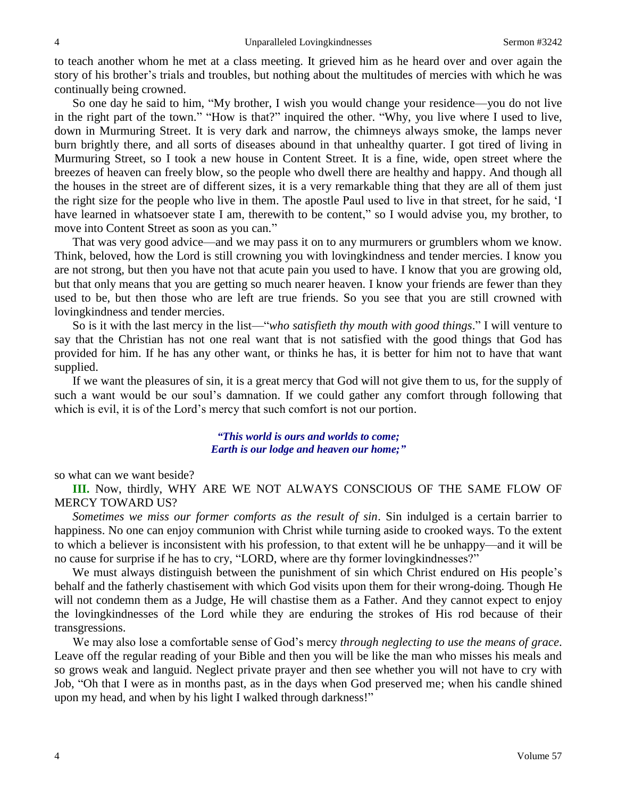to teach another whom he met at a class meeting. It grieved him as he heard over and over again the story of his brother's trials and troubles, but nothing about the multitudes of mercies with which he was continually being crowned.

So one day he said to him, "My brother, I wish you would change your residence—you do not live in the right part of the town." "How is that?" inquired the other. "Why, you live where I used to live, down in Murmuring Street. It is very dark and narrow, the chimneys always smoke, the lamps never burn brightly there, and all sorts of diseases abound in that unhealthy quarter. I got tired of living in Murmuring Street, so I took a new house in Content Street. It is a fine, wide, open street where the breezes of heaven can freely blow, so the people who dwell there are healthy and happy. And though all the houses in the street are of different sizes, it is a very remarkable thing that they are all of them just the right size for the people who live in them. The apostle Paul used to live in that street, for he said, 'I have learned in whatsoever state I am, therewith to be content," so I would advise you, my brother, to move into Content Street as soon as you can."

That was very good advice—and we may pass it on to any murmurers or grumblers whom we know. Think, beloved, how the Lord is still crowning you with lovingkindness and tender mercies. I know you are not strong, but then you have not that acute pain you used to have. I know that you are growing old, but that only means that you are getting so much nearer heaven. I know your friends are fewer than they used to be, but then those who are left are true friends. So you see that you are still crowned with lovingkindness and tender mercies.

So is it with the last mercy in the list—"*who satisfieth thy mouth with good things*." I will venture to say that the Christian has not one real want that is not satisfied with the good things that God has provided for him. If he has any other want, or thinks he has, it is better for him not to have that want supplied.

If we want the pleasures of sin, it is a great mercy that God will not give them to us, for the supply of such a want would be our soul's damnation. If we could gather any comfort through following that which is evil, it is of the Lord's mercy that such comfort is not our portion.

#### *"This world is ours and worlds to come; Earth is our lodge and heaven our home;"*

so what can we want beside?

**III.** Now, thirdly, WHY ARE WE NOT ALWAYS CONSCIOUS OF THE SAME FLOW OF MERCY TOWARD US?

*Sometimes we miss our former comforts as the result of sin*. Sin indulged is a certain barrier to happiness. No one can enjoy communion with Christ while turning aside to crooked ways. To the extent to which a believer is inconsistent with his profession, to that extent will he be unhappy—and it will be no cause for surprise if he has to cry, "LORD, where are thy former lovingkindnesses?"

We must always distinguish between the punishment of sin which Christ endured on His people's behalf and the fatherly chastisement with which God visits upon them for their wrong-doing. Though He will not condemn them as a Judge, He will chastise them as a Father. And they cannot expect to enjoy the lovingkindnesses of the Lord while they are enduring the strokes of His rod because of their transgressions.

We may also lose a comfortable sense of God's mercy *through neglecting to use the means of grace*. Leave off the regular reading of your Bible and then you will be like the man who misses his meals and so grows weak and languid. Neglect private prayer and then see whether you will not have to cry with Job, "Oh that I were as in months past, as in the days when God preserved me; when his candle shined upon my head, and when by his light I walked through darkness!"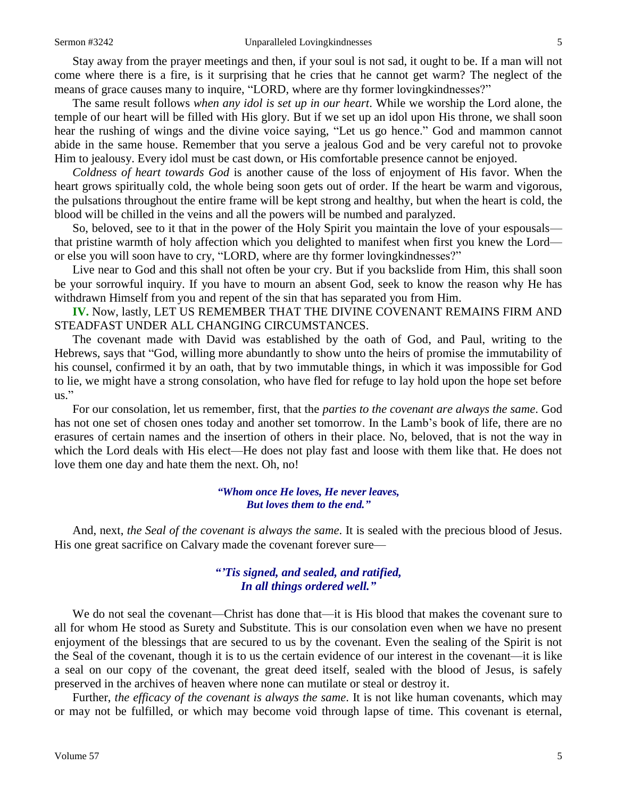Stay away from the prayer meetings and then, if your soul is not sad, it ought to be. If a man will not come where there is a fire, is it surprising that he cries that he cannot get warm? The neglect of the means of grace causes many to inquire, "LORD, where are thy former lovingkindnesses?"

The same result follows *when any idol is set up in our heart*. While we worship the Lord alone, the temple of our heart will be filled with His glory. But if we set up an idol upon His throne, we shall soon hear the rushing of wings and the divine voice saying, "Let us go hence." God and mammon cannot abide in the same house. Remember that you serve a jealous God and be very careful not to provoke Him to jealousy. Every idol must be cast down, or His comfortable presence cannot be enjoyed.

*Coldness of heart towards God* is another cause of the loss of enjoyment of His favor. When the heart grows spiritually cold, the whole being soon gets out of order. If the heart be warm and vigorous, the pulsations throughout the entire frame will be kept strong and healthy, but when the heart is cold, the blood will be chilled in the veins and all the powers will be numbed and paralyzed.

So, beloved, see to it that in the power of the Holy Spirit you maintain the love of your espousals that pristine warmth of holy affection which you delighted to manifest when first you knew the Lord or else you will soon have to cry, "LORD, where are thy former lovingkindnesses?"

Live near to God and this shall not often be your cry. But if you backslide from Him, this shall soon be your sorrowful inquiry. If you have to mourn an absent God, seek to know the reason why He has withdrawn Himself from you and repent of the sin that has separated you from Him.

**IV.** Now, lastly, LET US REMEMBER THAT THE DIVINE COVENANT REMAINS FIRM AND STEADFAST UNDER ALL CHANGING CIRCUMSTANCES.

The covenant made with David was established by the oath of God, and Paul, writing to the Hebrews, says that "God, willing more abundantly to show unto the heirs of promise the immutability of his counsel, confirmed it by an oath, that by two immutable things, in which it was impossible for God to lie, we might have a strong consolation, who have fled for refuge to lay hold upon the hope set before us."

For our consolation, let us remember, first, that the *parties to the covenant are always the same*. God has not one set of chosen ones today and another set tomorrow. In the Lamb's book of life, there are no erasures of certain names and the insertion of others in their place. No, beloved, that is not the way in which the Lord deals with His elect—He does not play fast and loose with them like that. He does not love them one day and hate them the next. Oh, no!

#### *"Whom once He loves, He never leaves, But loves them to the end."*

And, next, *the Seal of the covenant is always the same*. It is sealed with the precious blood of Jesus. His one great sacrifice on Calvary made the covenant forever sure—

## *"'Tis signed, and sealed, and ratified, In all things ordered well."*

We do not seal the covenant—Christ has done that—it is His blood that makes the covenant sure to all for whom He stood as Surety and Substitute. This is our consolation even when we have no present enjoyment of the blessings that are secured to us by the covenant. Even the sealing of the Spirit is not the Seal of the covenant, though it is to us the certain evidence of our interest in the covenant—it is like a seal on our copy of the covenant, the great deed itself, sealed with the blood of Jesus, is safely preserved in the archives of heaven where none can mutilate or steal or destroy it.

Further, *the efficacy of the covenant is always the same*. It is not like human covenants, which may or may not be fulfilled, or which may become void through lapse of time. This covenant is eternal,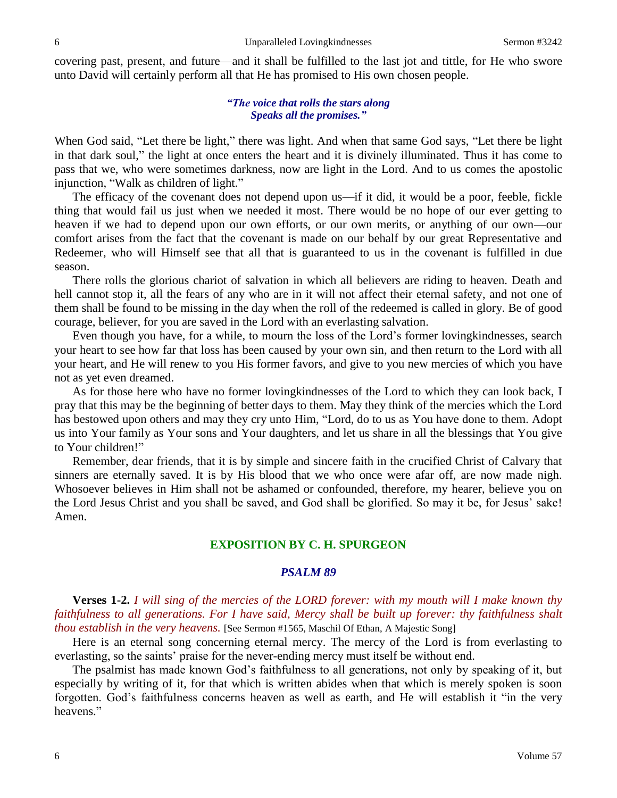covering past, present, and future—and it shall be fulfilled to the last jot and tittle, for He who swore unto David will certainly perform all that He has promised to His own chosen people.

#### *"The voice that rolls the stars along Speaks all the promises."*

When God said, "Let there be light," there was light. And when that same God says, "Let there be light in that dark soul," the light at once enters the heart and it is divinely illuminated. Thus it has come to pass that we, who were sometimes darkness, now are light in the Lord. And to us comes the apostolic injunction, "Walk as children of light."

The efficacy of the covenant does not depend upon us—if it did, it would be a poor, feeble, fickle thing that would fail us just when we needed it most. There would be no hope of our ever getting to heaven if we had to depend upon our own efforts, or our own merits, or anything of our own—our comfort arises from the fact that the covenant is made on our behalf by our great Representative and Redeemer, who will Himself see that all that is guaranteed to us in the covenant is fulfilled in due season.

There rolls the glorious chariot of salvation in which all believers are riding to heaven. Death and hell cannot stop it, all the fears of any who are in it will not affect their eternal safety, and not one of them shall be found to be missing in the day when the roll of the redeemed is called in glory. Be of good courage, believer, for you are saved in the Lord with an everlasting salvation.

Even though you have, for a while, to mourn the loss of the Lord's former lovingkindnesses, search your heart to see how far that loss has been caused by your own sin, and then return to the Lord with all your heart, and He will renew to you His former favors, and give to you new mercies of which you have not as yet even dreamed.

As for those here who have no former lovingkindnesses of the Lord to which they can look back, I pray that this may be the beginning of better days to them. May they think of the mercies which the Lord has bestowed upon others and may they cry unto Him, "Lord, do to us as You have done to them. Adopt us into Your family as Your sons and Your daughters, and let us share in all the blessings that You give to Your children!"

Remember, dear friends, that it is by simple and sincere faith in the crucified Christ of Calvary that sinners are eternally saved. It is by His blood that we who once were afar off, are now made nigh. Whosoever believes in Him shall not be ashamed or confounded, therefore, my hearer, believe you on the Lord Jesus Christ and you shall be saved, and God shall be glorified. So may it be, for Jesus' sake! Amen.

#### **EXPOSITION BY C. H. SPURGEON**

#### *PSALM 89*

**Verses 1-2.** *I will sing of the mercies of the LORD forever: with my mouth will I make known thy faithfulness to all generations. For I have said, Mercy shall be built up forever: thy faithfulness shalt thou establish in the very heavens.* [See Sermon #1565, Maschil Of Ethan, A Majestic Song]

Here is an eternal song concerning eternal mercy. The mercy of the Lord is from everlasting to everlasting, so the saints' praise for the never-ending mercy must itself be without end.

The psalmist has made known God's faithfulness to all generations, not only by speaking of it, but especially by writing of it, for that which is written abides when that which is merely spoken is soon forgotten. God's faithfulness concerns heaven as well as earth, and He will establish it "in the very heavens."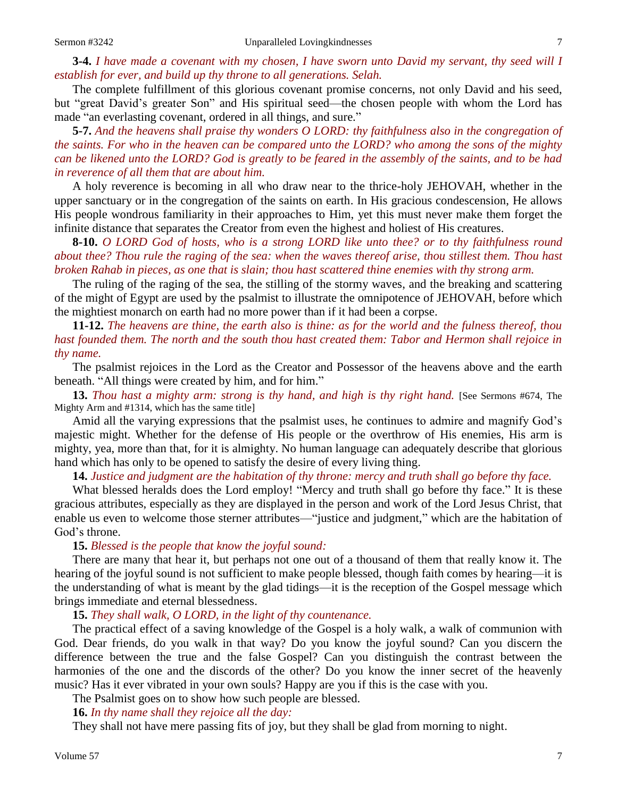The complete fulfillment of this glorious covenant promise concerns, not only David and his seed, but "great David's greater Son" and His spiritual seed—the chosen people with whom the Lord has made "an everlasting covenant, ordered in all things, and sure."

**5-7.** *And the heavens shall praise thy wonders O LORD: thy faithfulness also in the congregation of the saints. For who in the heaven can be compared unto the LORD? who among the sons of the mighty can be likened unto the LORD? God is greatly to be feared in the assembly of the saints, and to be had in reverence of all them that are about him.* 

A holy reverence is becoming in all who draw near to the thrice-holy JEHOVAH, whether in the upper sanctuary or in the congregation of the saints on earth. In His gracious condescension, He allows His people wondrous familiarity in their approaches to Him, yet this must never make them forget the infinite distance that separates the Creator from even the highest and holiest of His creatures.

**8-10.** *O LORD God of hosts, who is a strong LORD like unto thee? or to thy faithfulness round about thee? Thou rule the raging of the sea: when the waves thereof arise, thou stillest them. Thou hast broken Rahab in pieces, as one that is slain; thou hast scattered thine enemies with thy strong arm.* 

The ruling of the raging of the sea, the stilling of the stormy waves, and the breaking and scattering of the might of Egypt are used by the psalmist to illustrate the omnipotence of JEHOVAH, before which the mightiest monarch on earth had no more power than if it had been a corpse.

**11-12.** *The heavens are thine, the earth also is thine: as for the world and the fulness thereof, thou hast founded them. The north and the south thou hast created them: Tabor and Hermon shall rejoice in thy name.*

The psalmist rejoices in the Lord as the Creator and Possessor of the heavens above and the earth beneath. "All things were created by him, and for him."

**13.** *Thou hast a mighty arm: strong is thy hand, and high is thy right hand.* [See Sermons #674, The Mighty Arm and #1314, which has the same title]

Amid all the varying expressions that the psalmist uses, he continues to admire and magnify God's majestic might. Whether for the defense of His people or the overthrow of His enemies, His arm is mighty, yea, more than that, for it is almighty. No human language can adequately describe that glorious hand which has only to be opened to satisfy the desire of every living thing.

**14.** *Justice and judgment are the habitation of thy throne: mercy and truth shall go before thy face.* 

What blessed heralds does the Lord employ! "Mercy and truth shall go before thy face." It is these gracious attributes, especially as they are displayed in the person and work of the Lord Jesus Christ, that enable us even to welcome those sterner attributes—"justice and judgment," which are the habitation of God's throne.

#### **15.** *Blessed is the people that know the joyful sound:*

There are many that hear it, but perhaps not one out of a thousand of them that really know it. The hearing of the joyful sound is not sufficient to make people blessed, though faith comes by hearing—it is the understanding of what is meant by the glad tidings—it is the reception of the Gospel message which brings immediate and eternal blessedness.

**15.** *They shall walk, O LORD, in the light of thy countenance.* 

The practical effect of a saving knowledge of the Gospel is a holy walk, a walk of communion with God. Dear friends, do you walk in that way? Do you know the joyful sound? Can you discern the difference between the true and the false Gospel? Can you distinguish the contrast between the harmonies of the one and the discords of the other? Do you know the inner secret of the heavenly music? Has it ever vibrated in your own souls? Happy are you if this is the case with you.

The Psalmist goes on to show how such people are blessed.

#### **16.** *In thy name shall they rejoice all the day:*

They shall not have mere passing fits of joy, but they shall be glad from morning to night.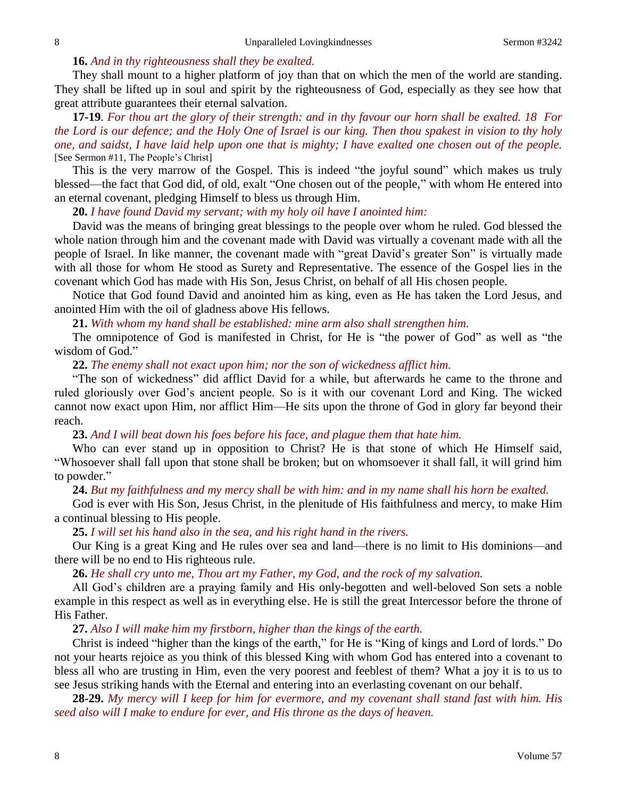### **16.** *And in thy righteousness shall they be exalted.*

They shall mount to a higher platform of joy than that on which the men of the world are standing. They shall be lifted up in soul and spirit by the righteousness of God, especially as they see how that great attribute guarantees their eternal salvation.

**17-19**. *For thou art the glory of their strength: and in thy favour our horn shall be exalted. 18 For the Lord is our defence; and the Holy One of Israel is our king. Then thou spakest in vision to thy holy one, and saidst, I have laid help upon one that is mighty; I have exalted one chosen out of the people.* [See Sermon #11, The People's Christ]

This is the very marrow of the Gospel. This is indeed "the joyful sound" which makes us truly blessed—the fact that God did, of old, exalt "One chosen out of the people," with whom He entered into an eternal covenant, pledging Himself to bless us through Him.

**20.** *I have found David my servant; with my holy oil have I anointed him:*

David was the means of bringing great blessings to the people over whom he ruled. God blessed the whole nation through him and the covenant made with David was virtually a covenant made with all the people of Israel. In like manner, the covenant made with "great David's greater Son" is virtually made with all those for whom He stood as Surety and Representative. The essence of the Gospel lies in the covenant which God has made with His Son, Jesus Christ, on behalf of all His chosen people.

Notice that God found David and anointed him as king, even as He has taken the Lord Jesus, and anointed Him with the oil of gladness above His fellows.

**21.** *With whom my hand shall be established: mine arm also shall strengthen him.* 

The omnipotence of God is manifested in Christ, for He is "the power of God" as well as "the wisdom of God."

**22.** *The enemy shall not exact upon him; nor the son of wickedness afflict him.* 

"The son of wickedness" did afflict David for a while, but afterwards he came to the throne and ruled gloriously over God's ancient people. So is it with our covenant Lord and King. The wicked cannot now exact upon Him, nor afflict Him—He sits upon the throne of God in glory far beyond their reach.

**23.** *And I will beat down his foes before his face, and plague them that hate him.* 

Who can ever stand up in opposition to Christ? He is that stone of which He Himself said, "Whosoever shall fall upon that stone shall be broken; but on whomsoever it shall fall, it will grind him to powder."

**24.** *But my faithfulness and my mercy shall be with him: and in my name shall his horn be exalted.* 

God is ever with His Son, Jesus Christ, in the plenitude of His faithfulness and mercy, to make Him a continual blessing to His people.

**25.** *I will set his hand also in the sea, and his right hand in the rivers.* 

Our King is a great King and He rules over sea and land—there is no limit to His dominions—and there will be no end to His righteous rule.

**26.** *He shall cry unto me, Thou art my Father, my God, and the rock of my salvation.* 

All God's children are a praying family and His only-begotten and well-beloved Son sets a noble example in this respect as well as in everything else. He is still the great Intercessor before the throne of His Father.

#### **27.** *Also I will make him my firstborn, higher than the kings of the earth.*

Christ is indeed "higher than the kings of the earth," for He is "King of kings and Lord of lords." Do not your hearts rejoice as you think of this blessed King with whom God has entered into a covenant to bless all who are trusting in Him, even the very poorest and feeblest of them? What a joy it is to us to see Jesus striking hands with the Eternal and entering into an everlasting covenant on our behalf.

**28-29.** *My mercy will I keep for him for evermore, and my covenant shall stand fast with him. His seed also will I make to endure for ever, and His throne as the days of heaven.*